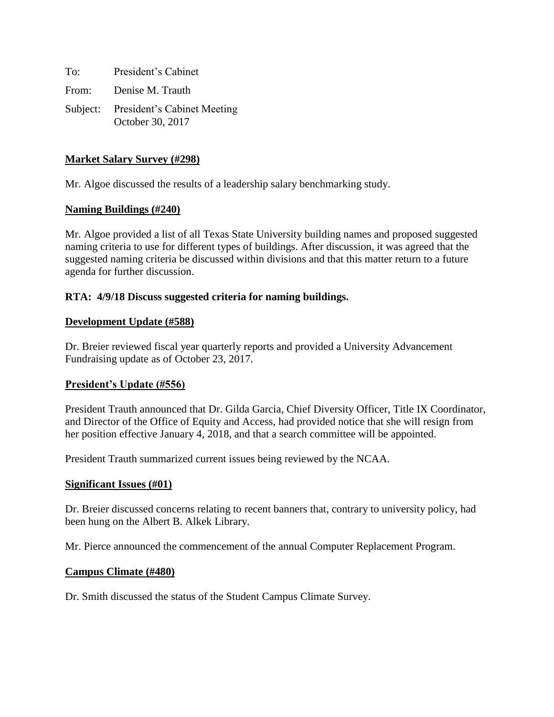To: President's Cabinet From: Denise M. Trauth Subject: President's Cabinet Meeting October 30, 2017

## **Market Salary Survey (#298)**

Mr. Algoe discussed the results of a leadership salary benchmarking study.

#### **Naming Buildings (#240)**

Mr. Algoe provided a list of all Texas State University building names and proposed suggested naming criteria to use for different types of buildings. After discussion, it was agreed that the suggested naming criteria be discussed within divisions and that this matter return to a future agenda for further discussion.

#### **RTA: 4/9/18 Discuss suggested criteria for naming buildings.**

#### **Development Update (#588)**

Dr. Breier reviewed fiscal year quarterly reports and provided a University Advancement Fundraising update as of October 23, 2017.

# **President's Update (#556)**

President Trauth announced that Dr. Gilda Garcia, Chief Diversity Officer, Title IX Coordinator, and Director of the Office of Equity and Access, had provided notice that she will resign from her position effective January 4, 2018, and that a search committee will be appointed.

President Trauth summarized current issues being reviewed by the NCAA.

#### **Significant Issues (#01)**

Dr. Breier discussed concerns relating to recent banners that, contrary to university policy, had been hung on the Albert B. Alkek Library.

Mr. Pierce announced the commencement of the annual Computer Replacement Program.

#### **Campus Climate (#480)**

Dr. Smith discussed the status of the Student Campus Climate Survey.